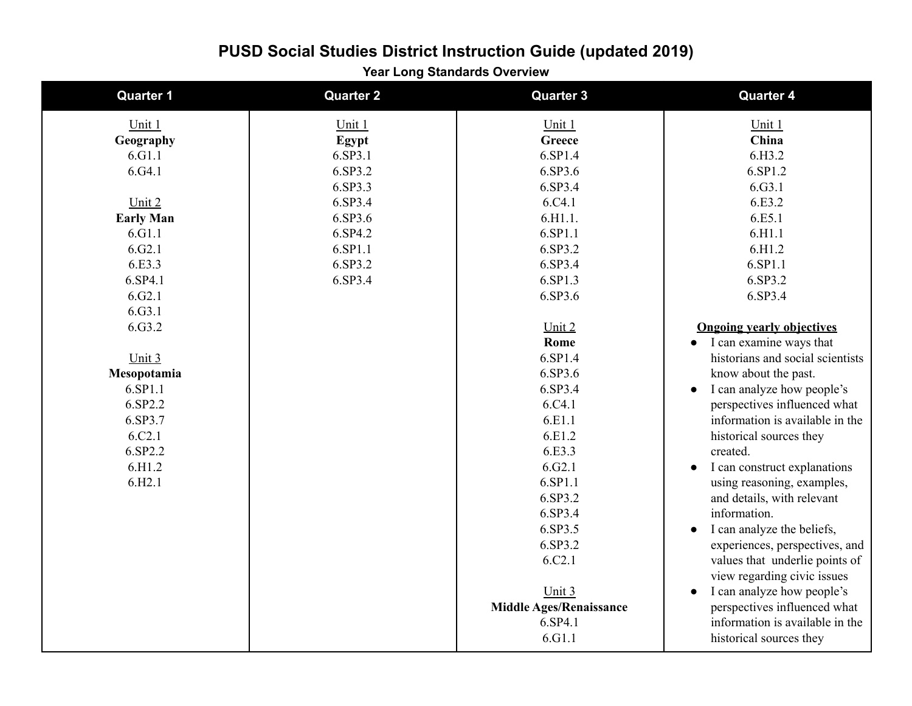**Year Long Standards Overview**

| <b>Quarter 1</b>   | <b>Quarter 2</b> | <b>Quarter 3</b>               | <b>Quarter 4</b>                          |
|--------------------|------------------|--------------------------------|-------------------------------------------|
| Unit $1$           | Unit 1           | Unit 1                         | Unit 1                                    |
| Geography          | Egypt            | Greece                         | China                                     |
| 6.G1.1             | 6.SP3.1          | 6.SP1.4                        | 6.H3.2                                    |
| 6. G4.1            | 6.SP3.2          | 6.SP3.6                        | 6.SP1.2                                   |
|                    | 6.SP3.3          | 6.SP3.4                        | 6.G3.1                                    |
| Unit 2             | 6.SP3.4          | 6.C4.1                         | 6.E3.2                                    |
| <b>Early Man</b>   | 6.SP3.6          | 6.H1.1.                        | 6.E5.1                                    |
| 6.G1.1             | 6.SP4.2          | 6.SP1.1                        | 6.H1.1                                    |
| 6. G2.1            | 6.SP1.1          | 6.SP3.2                        | 6.H1.2                                    |
| 6.E3.3             | 6.SP3.2          | 6.SP3.4                        | 6.SP1.1                                   |
| 6.SP4.1            | 6.SP3.4          | 6.SP1.3                        | 6.SP3.2                                   |
| 6. G2.1            |                  | 6.SP3.6                        | 6.SP3.4                                   |
| 6.G3.1             |                  |                                |                                           |
| 6.G3.2             |                  | Unit 2                         | <b>Ongoing yearly objectives</b>          |
|                    |                  | Rome                           | I can examine ways that                   |
| Unit 3             |                  | 6.SP1.4                        | historians and social scientists          |
| Mesopotamia        |                  | 6.SP3.6                        | know about the past.                      |
| 6.SP1.1            |                  | 6.SP3.4                        | I can analyze how people's<br>$\bullet$   |
| 6.SP2.2            |                  | 6.C4.1                         | perspectives influenced what              |
| 6.SP3.7            |                  | 6.E1.1                         | information is available in the           |
| 6.C <sub>2.1</sub> |                  | 6.E1.2                         | historical sources they                   |
| 6.SP2.2            |                  | 6.E3.3                         | created.                                  |
| 6.H1.2             |                  | 6.G2.1                         | I can construct explanations<br>$\bullet$ |
| 6.H2.1             |                  | 6.SP1.1                        | using reasoning, examples,                |
|                    |                  | 6.SP3.2                        | and details, with relevant                |
|                    |                  | 6.SP3.4                        | information.                              |
|                    |                  | 6.SP3.5                        | I can analyze the beliefs,<br>$\bullet$   |
|                    |                  | 6.SP3.2                        | experiences, perspectives, and            |
|                    |                  | 6.C2.1                         | values that underlie points of            |
|                    |                  |                                | view regarding civic issues               |
|                    |                  | Unit 3                         | I can analyze how people's<br>$\bullet$   |
|                    |                  | <b>Middle Ages/Renaissance</b> | perspectives influenced what              |
|                    |                  | 6.SP4.1                        | information is available in the           |
|                    |                  | 6.G1.1                         | historical sources they                   |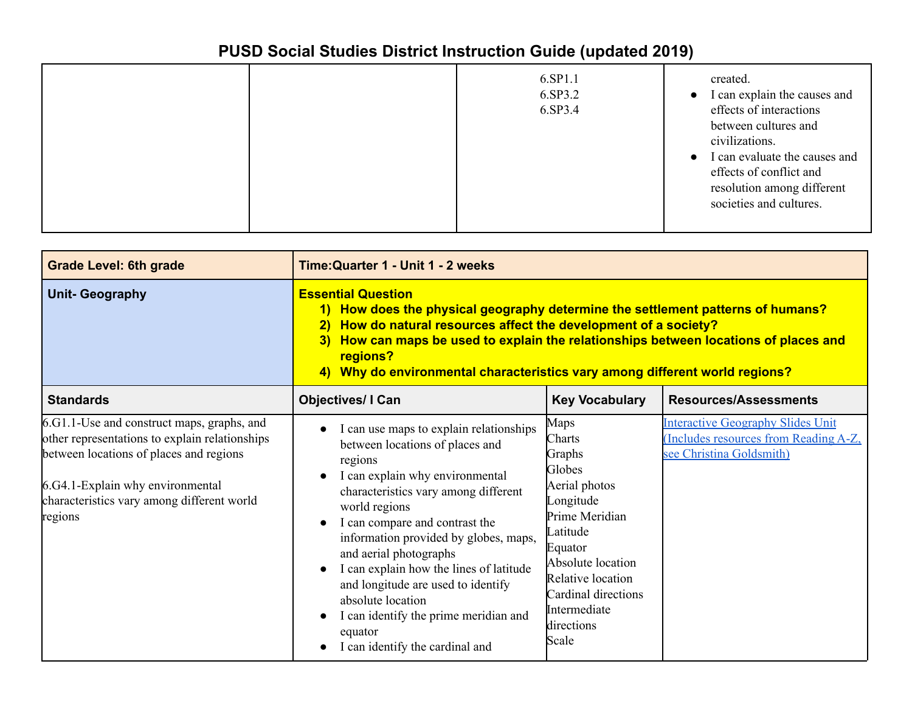|  |  | 6.SP1.1<br>6.SP3.2<br>6.SP3.4 | created.<br>I can explain the causes and<br>$\bullet$<br>effects of interactions<br>between cultures and<br>civilizations.<br>I can evaluate the causes and<br>$\bullet$<br>effects of conflict and<br>resolution among different<br>societies and cultures. |
|--|--|-------------------------------|--------------------------------------------------------------------------------------------------------------------------------------------------------------------------------------------------------------------------------------------------------------|
|--|--|-------------------------------|--------------------------------------------------------------------------------------------------------------------------------------------------------------------------------------------------------------------------------------------------------------|

| <b>Grade Level: 6th grade</b>                                                                                                                                                                                                        | Time: Quarter 1 - Unit 1 - 2 weeks                                                                                                                                                                                                                                                                                                                                                                                                                                                                            |                                                                                                                                                                                                                   |                                                                                                              |
|--------------------------------------------------------------------------------------------------------------------------------------------------------------------------------------------------------------------------------------|---------------------------------------------------------------------------------------------------------------------------------------------------------------------------------------------------------------------------------------------------------------------------------------------------------------------------------------------------------------------------------------------------------------------------------------------------------------------------------------------------------------|-------------------------------------------------------------------------------------------------------------------------------------------------------------------------------------------------------------------|--------------------------------------------------------------------------------------------------------------|
| <b>Unit- Geography</b>                                                                                                                                                                                                               | <b>Essential Question</b><br>1) How does the physical geography determine the settlement patterns of humans?<br>How do natural resources affect the development of a society?<br>$\overline{2}$<br>How can maps be used to explain the relationships between locations of places and<br>3)<br>regions?<br>4) Why do environmental characteristics vary among different world regions?                                                                                                                         |                                                                                                                                                                                                                   |                                                                                                              |
| <b>Standards</b>                                                                                                                                                                                                                     | <b>Objectives/ I Can</b>                                                                                                                                                                                                                                                                                                                                                                                                                                                                                      | <b>Key Vocabulary</b>                                                                                                                                                                                             | <b>Resources/Assessments</b>                                                                                 |
| 6.G1.1-Use and construct maps, graphs, and<br>other representations to explain relationships<br>between locations of places and regions<br>6.G4.1-Explain why environmental<br>characteristics vary among different world<br>regions | I can use maps to explain relationships<br>$\bullet$<br>between locations of places and<br>regions<br>I can explain why environmental<br>characteristics vary among different<br>world regions<br>I can compare and contrast the<br>$\bullet$<br>information provided by globes, maps,<br>and aerial photographs<br>I can explain how the lines of latitude<br>and longitude are used to identify<br>absolute location<br>I can identify the prime meridian and<br>equator<br>I can identify the cardinal and | Maps<br>Charts<br>Graphs<br>Globes<br>Aerial photos<br>Longitude<br>Prime Meridian<br>Latitude<br>Equator<br>Absolute location<br>Relative location<br>Cardinal directions<br>Intermediate<br>directions<br>Scale | <b>Interactive Geography Slides Unit</b><br>Includes resources from Reading A-Z,<br>see Christina Goldsmith) |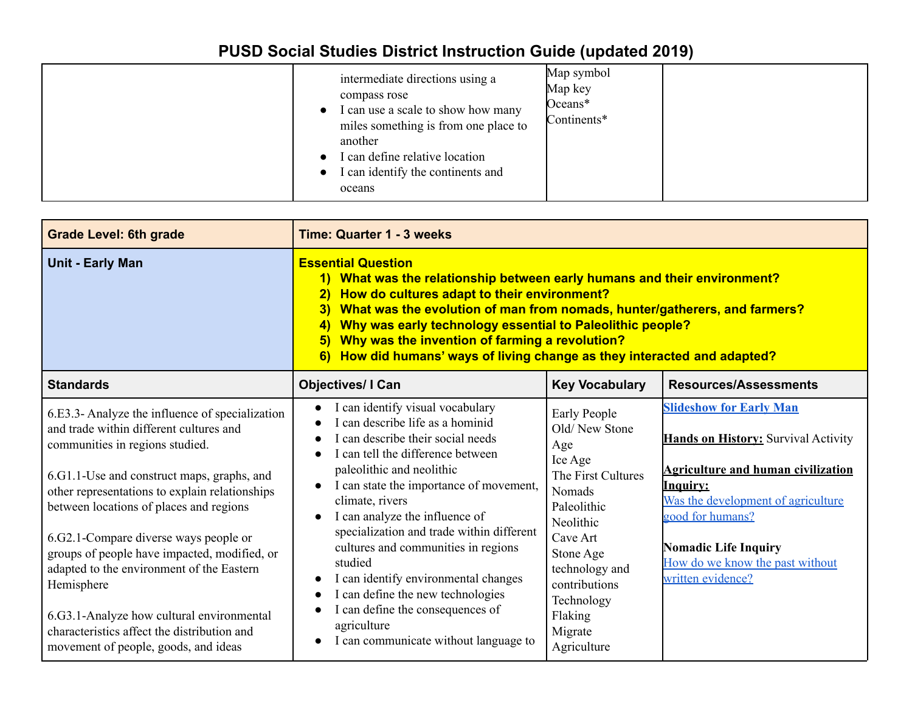| intermediate directions using a<br>compass rose<br>I can use a scale to show how many<br>$\bullet$<br>miles something is from one place to<br>another<br>I can define relative location<br>I can identify the continents and<br>$\bullet$<br>oceans | Map symbol<br>Map key<br>Oceans*<br>Continents* |
|-----------------------------------------------------------------------------------------------------------------------------------------------------------------------------------------------------------------------------------------------------|-------------------------------------------------|
|-----------------------------------------------------------------------------------------------------------------------------------------------------------------------------------------------------------------------------------------------------|-------------------------------------------------|

| <b>Grade Level: 6th grade</b>                                                                                                                                                                                                                                                                                                                                                                                                                                                                                                                                    | <b>Time: Quarter 1 - 3 weeks</b>                                                                                                                                                                                                                                                                                                                                                                                                                                                                                                                                 |                                                                                                                                                                                                                                   |                                                                                                                                                                                                                                                                                               |
|------------------------------------------------------------------------------------------------------------------------------------------------------------------------------------------------------------------------------------------------------------------------------------------------------------------------------------------------------------------------------------------------------------------------------------------------------------------------------------------------------------------------------------------------------------------|------------------------------------------------------------------------------------------------------------------------------------------------------------------------------------------------------------------------------------------------------------------------------------------------------------------------------------------------------------------------------------------------------------------------------------------------------------------------------------------------------------------------------------------------------------------|-----------------------------------------------------------------------------------------------------------------------------------------------------------------------------------------------------------------------------------|-----------------------------------------------------------------------------------------------------------------------------------------------------------------------------------------------------------------------------------------------------------------------------------------------|
| <b>Unit - Early Man</b>                                                                                                                                                                                                                                                                                                                                                                                                                                                                                                                                          | <b>Essential Question</b><br>1) What was the relationship between early humans and their environment?<br>How do cultures adapt to their environment?<br>$\left 2\right\rangle$<br>What was the evolution of man from nomads, hunter/gatherers, and farmers?<br>3)<br>Why was early technology essential to Paleolithic people?<br>$\left(4\right)$<br>Why was the invention of farming a revolution?<br>5)<br>How did humans' ways of living change as they interacted and adapted?<br><b>6</b>                                                                  |                                                                                                                                                                                                                                   |                                                                                                                                                                                                                                                                                               |
| <b>Standards</b>                                                                                                                                                                                                                                                                                                                                                                                                                                                                                                                                                 | <b>Objectives/ I Can</b>                                                                                                                                                                                                                                                                                                                                                                                                                                                                                                                                         | <b>Key Vocabulary</b>                                                                                                                                                                                                             | <b>Resources/Assessments</b>                                                                                                                                                                                                                                                                  |
| 6.E3.3- Analyze the influence of specialization<br>and trade within different cultures and<br>communities in regions studied.<br>6.G1.1-Use and construct maps, graphs, and<br>other representations to explain relationships<br>between locations of places and regions<br>6.G2.1-Compare diverse ways people or<br>groups of people have impacted, modified, or<br>adapted to the environment of the Eastern<br>Hemisphere<br>6.G3.1-Analyze how cultural environmental<br>characteristics affect the distribution and<br>movement of people, goods, and ideas | I can identify visual vocabulary<br>$\bullet$<br>I can describe life as a hominid<br>I can describe their social needs<br>I can tell the difference between<br>paleolithic and neolithic<br>I can state the importance of movement,<br>climate, rivers<br>I can analyze the influence of<br>specialization and trade within different<br>cultures and communities in regions<br>studied<br>I can identify environmental changes<br>I can define the new technologies<br>I can define the consequences of<br>agriculture<br>I can communicate without language to | Early People<br>Old/New Stone<br>Age<br>Ice Age<br>The First Cultures<br><b>Nomads</b><br>Paleolithic<br>Neolithic<br>Cave Art<br>Stone Age<br>technology and<br>contributions<br>Technology<br>Flaking<br>Migrate<br>Agriculture | <b>Slideshow for Early Man</b><br><b>Hands on History:</b> Survival Activity<br><b>Agriculture and human civilization</b><br><b>Inquiry:</b><br>Was the development of agriculture<br>good for humans?<br><b>Nomadic Life Inquiry</b><br>How do we know the past without<br>written evidence? |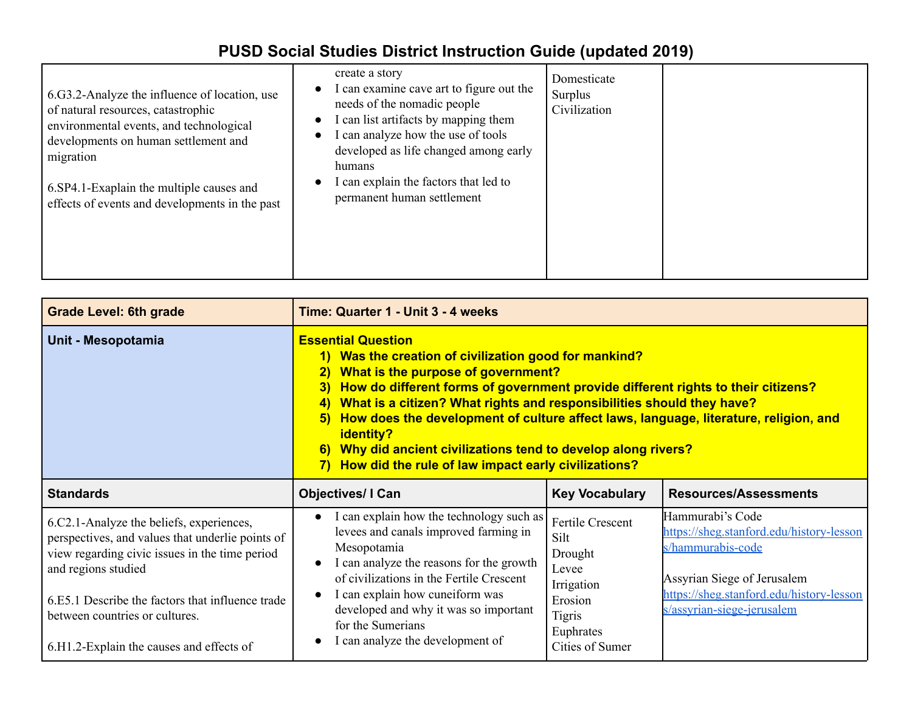| 6.G3.2-Analyze the influence of location, use<br>of natural resources, catastrophic<br>environmental events, and technological<br>developments on human settlement and<br>migration<br>6. SP4.1-Exaplain the multiple causes and<br>effects of events and developments in the past | create a story<br>I can examine cave art to figure out the<br>needs of the nomadic people<br>I can list artifacts by mapping them<br>I can analyze how the use of tools<br>developed as life changed among early<br>humans<br>I can explain the factors that led to<br>permanent human settlement | Domesticate<br>Surplus<br>Civilization |  |
|------------------------------------------------------------------------------------------------------------------------------------------------------------------------------------------------------------------------------------------------------------------------------------|---------------------------------------------------------------------------------------------------------------------------------------------------------------------------------------------------------------------------------------------------------------------------------------------------|----------------------------------------|--|
|------------------------------------------------------------------------------------------------------------------------------------------------------------------------------------------------------------------------------------------------------------------------------------|---------------------------------------------------------------------------------------------------------------------------------------------------------------------------------------------------------------------------------------------------------------------------------------------------|----------------------------------------|--|

| <b>Grade Level: 6th grade</b>                                                                                                                                                                                                                                                                           | Time: Quarter 1 - Unit 3 - 4 weeks                                                                                                                                                                                                                                                                                                                                                                                                                                                                                                                         |                                                                                                                               |                                                                                                                                                                                            |
|---------------------------------------------------------------------------------------------------------------------------------------------------------------------------------------------------------------------------------------------------------------------------------------------------------|------------------------------------------------------------------------------------------------------------------------------------------------------------------------------------------------------------------------------------------------------------------------------------------------------------------------------------------------------------------------------------------------------------------------------------------------------------------------------------------------------------------------------------------------------------|-------------------------------------------------------------------------------------------------------------------------------|--------------------------------------------------------------------------------------------------------------------------------------------------------------------------------------------|
| Unit - Mesopotamia                                                                                                                                                                                                                                                                                      | <b>Essential Question</b><br>1) Was the creation of civilization good for mankind?<br>What is the purpose of government?<br>$\overline{2}$<br>How do different forms of government provide different rights to their citizens?<br>3)<br>What is a citizen? What rights and responsibilities should they have?<br>4)<br>How does the development of culture affect laws, language, literature, religion, and<br>5)<br>identity?<br>Why did ancient civilizations tend to develop along rivers?<br>6)<br>How did the rule of law impact early civilizations? |                                                                                                                               |                                                                                                                                                                                            |
| <b>Standards</b>                                                                                                                                                                                                                                                                                        | <b>Objectives/I Can</b>                                                                                                                                                                                                                                                                                                                                                                                                                                                                                                                                    | <b>Key Vocabulary</b>                                                                                                         | <b>Resources/Assessments</b>                                                                                                                                                               |
| 6.C2.1-Analyze the beliefs, experiences,<br>perspectives, and values that underlie points of<br>view regarding civic issues in the time period<br>and regions studied<br>6.E5.1 Describe the factors that influence trade<br>between countries or cultures.<br>6.H1.2-Explain the causes and effects of | I can explain how the technology such as<br>levees and canals improved farming in<br>Mesopotamia<br>I can analyze the reasons for the growth<br>of civilizations in the Fertile Crescent<br>I can explain how cuneiform was<br>developed and why it was so important<br>for the Sumerians<br>I can analyze the development of                                                                                                                                                                                                                              | <b>Fertile Crescent</b><br>Silt<br>Drought<br>Levee<br>Irrigation<br>Erosion<br><b>Tigris</b><br>Euphrates<br>Cities of Sumer | Hammurabi's Code<br>https://sheg.stanford.edu/history-lesson<br>s/hammurabis-code<br>Assyrian Siege of Jerusalem<br>https://sheg.stanford.edu/history-lesson<br>s/assyrian-siege-jerusalem |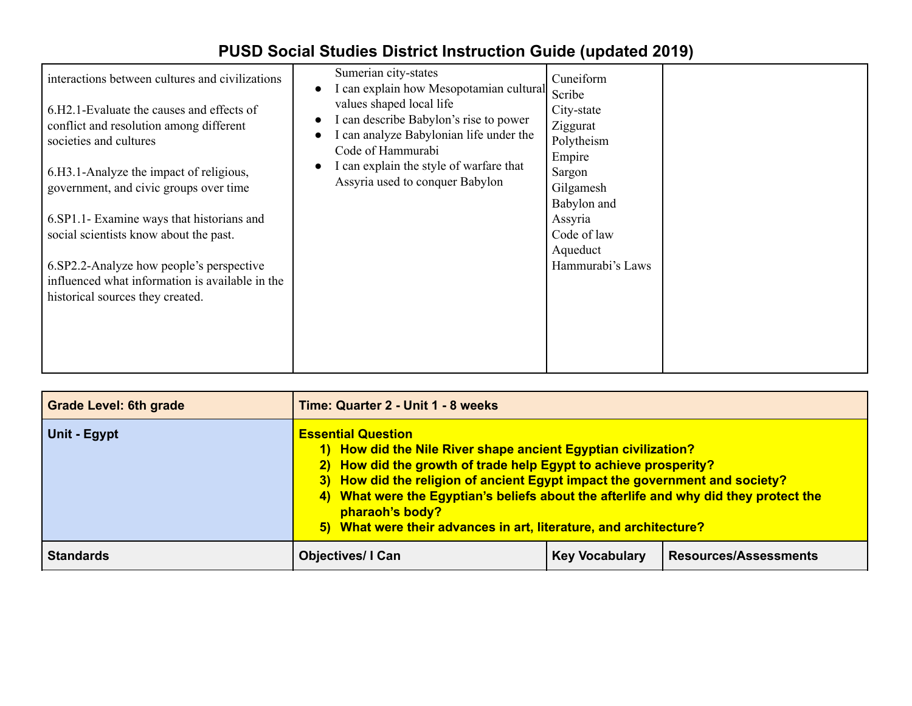| interactions between cultures and civilizations<br>6.H <sub>2</sub> .1-Evaluate the causes and effects of<br>conflict and resolution among different<br>societies and cultures<br>6.H3.1-Analyze the impact of religious,<br>government, and civic groups over time<br>6.SP1.1- Examine ways that historians and<br>social scientists know about the past.<br>6.SP2.2-Analyze how people's perspective<br>influenced what information is available in the<br>historical sources they created. | Sumerian city-states<br>I can explain how Mesopotamian cultural<br>values shaped local life<br>I can describe Babylon's rise to power<br>I can analyze Babylonian life under the<br>Code of Hammurabi<br>I can explain the style of warfare that<br>Assyria used to conquer Babylon | Cuneiform<br>Scribe<br>City-state<br>Ziggurat<br>Polytheism<br>Empire<br>Sargon<br>Gilgamesh<br>Babylon and<br>Assyria<br>Code of law<br>Aqueduct<br>Hammurabi's Laws |  |
|-----------------------------------------------------------------------------------------------------------------------------------------------------------------------------------------------------------------------------------------------------------------------------------------------------------------------------------------------------------------------------------------------------------------------------------------------------------------------------------------------|-------------------------------------------------------------------------------------------------------------------------------------------------------------------------------------------------------------------------------------------------------------------------------------|-----------------------------------------------------------------------------------------------------------------------------------------------------------------------|--|
|                                                                                                                                                                                                                                                                                                                                                                                                                                                                                               |                                                                                                                                                                                                                                                                                     |                                                                                                                                                                       |  |

| <b>Grade Level: 6th grade</b> | Time: Quarter 2 - Unit 1 - 8 weeks                                                                                                                                                                                                                                                                                                                                                                                             |  |  |
|-------------------------------|--------------------------------------------------------------------------------------------------------------------------------------------------------------------------------------------------------------------------------------------------------------------------------------------------------------------------------------------------------------------------------------------------------------------------------|--|--|
| Unit - Egypt                  | <b>Essential Question</b><br>1) How did the Nile River shape ancient Egyptian civilization?<br>2) How did the growth of trade help Egypt to achieve prosperity?<br>3) How did the religion of ancient Egypt impact the government and society?<br>4) What were the Egyptian's beliefs about the afterlife and why did they protect the<br>pharaoh's body?<br>5) What were their advances in art, literature, and architecture? |  |  |
| <b>Standards</b>              | <b>Resources/Assessments</b><br><b>Objectives/I Can</b><br><b>Key Vocabulary</b>                                                                                                                                                                                                                                                                                                                                               |  |  |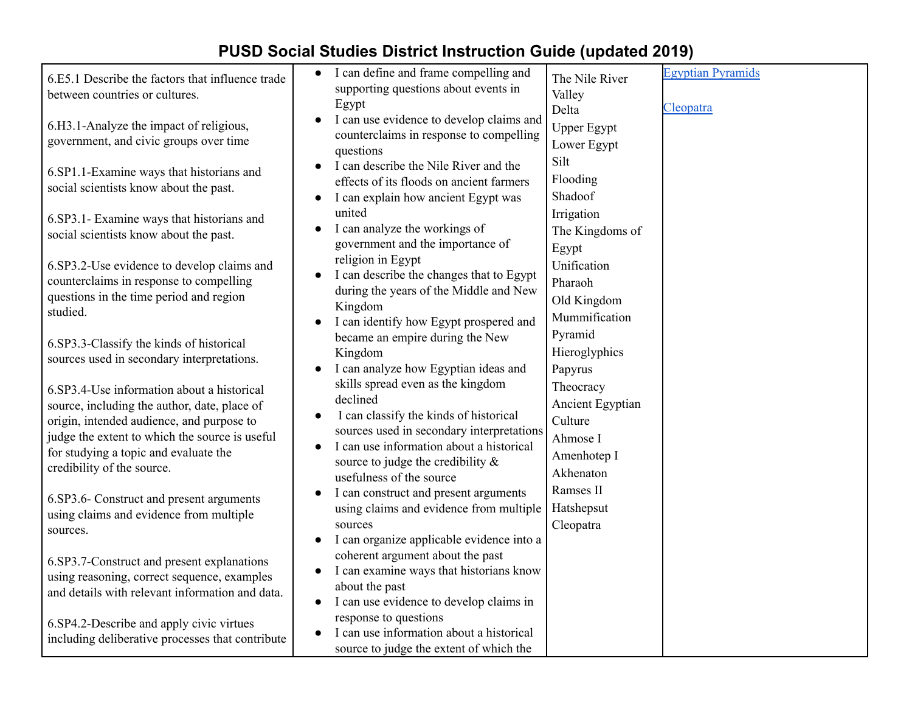| 6.E5.1 Describe the factors that influence trade<br>between countries or cultures.                                                                                                                                                                               | I can define and frame compelling and<br>supporting questions about events in<br>Egypt                                                                                                                                                                            | The Nile River<br>Valley<br>Delta                                                | <b>Egyptian Pyramids</b><br>Cleopatra |
|------------------------------------------------------------------------------------------------------------------------------------------------------------------------------------------------------------------------------------------------------------------|-------------------------------------------------------------------------------------------------------------------------------------------------------------------------------------------------------------------------------------------------------------------|----------------------------------------------------------------------------------|---------------------------------------|
| 6.H3.1-Analyze the impact of religious,<br>government, and civic groups over time                                                                                                                                                                                | I can use evidence to develop claims and<br>$\bullet$<br>counterclaims in response to compelling<br>questions                                                                                                                                                     | <b>Upper Egypt</b><br>Lower Egypt                                                |                                       |
| 6.SP1.1-Examine ways that historians and<br>social scientists know about the past.                                                                                                                                                                               | I can describe the Nile River and the<br>effects of its floods on ancient farmers<br>I can explain how ancient Egypt was                                                                                                                                          | Silt<br>Flooding<br>Shadoof                                                      |                                       |
| 6.SP3.1- Examine ways that historians and<br>social scientists know about the past.                                                                                                                                                                              | united<br>I can analyze the workings of<br>government and the importance of                                                                                                                                                                                       | Irrigation<br>The Kingdoms of<br>Egypt                                           |                                       |
| 6.SP3.2-Use evidence to develop claims and<br>counterclaims in response to compelling<br>questions in the time period and region<br>studied.                                                                                                                     | religion in Egypt<br>I can describe the changes that to Egypt<br>during the years of the Middle and New<br>Kingdom<br>I can identify how Egypt prospered and                                                                                                      | Unification<br>Pharaoh<br>Old Kingdom<br>Mummification                           |                                       |
| 6.SP3.3-Classify the kinds of historical<br>sources used in secondary interpretations.                                                                                                                                                                           | became an empire during the New<br>Kingdom<br>I can analyze how Egyptian ideas and                                                                                                                                                                                | Pyramid<br>Hieroglyphics<br>Papyrus                                              |                                       |
| 6.SP3.4-Use information about a historical<br>source, including the author, date, place of<br>origin, intended audience, and purpose to<br>judge the extent to which the source is useful<br>for studying a topic and evaluate the<br>credibility of the source. | skills spread even as the kingdom<br>declined<br>I can classify the kinds of historical<br>$\bullet$<br>sources used in secondary interpretations<br>I can use information about a historical<br>source to judge the credibility $\&$<br>usefulness of the source | Theocracy<br>Ancient Egyptian<br>Culture<br>Ahmose I<br>Amenhotep I<br>Akhenaton |                                       |
| 6.SP3.6- Construct and present arguments<br>using claims and evidence from multiple<br>sources.                                                                                                                                                                  | I can construct and present arguments<br>using claims and evidence from multiple<br>sources<br>I can organize applicable evidence into a                                                                                                                          | Ramses II<br>Hatshepsut<br>Cleopatra                                             |                                       |
| 6.SP3.7-Construct and present explanations<br>using reasoning, correct sequence, examples<br>and details with relevant information and data.                                                                                                                     | coherent argument about the past<br>I can examine ways that historians know<br>$\bullet$<br>about the past<br>I can use evidence to develop claims in<br>$\bullet$                                                                                                |                                                                                  |                                       |
| 6.SP4.2-Describe and apply civic virtues<br>including deliberative processes that contribute                                                                                                                                                                     | response to questions<br>I can use information about a historical<br>$\bullet$<br>source to judge the extent of which the                                                                                                                                         |                                                                                  |                                       |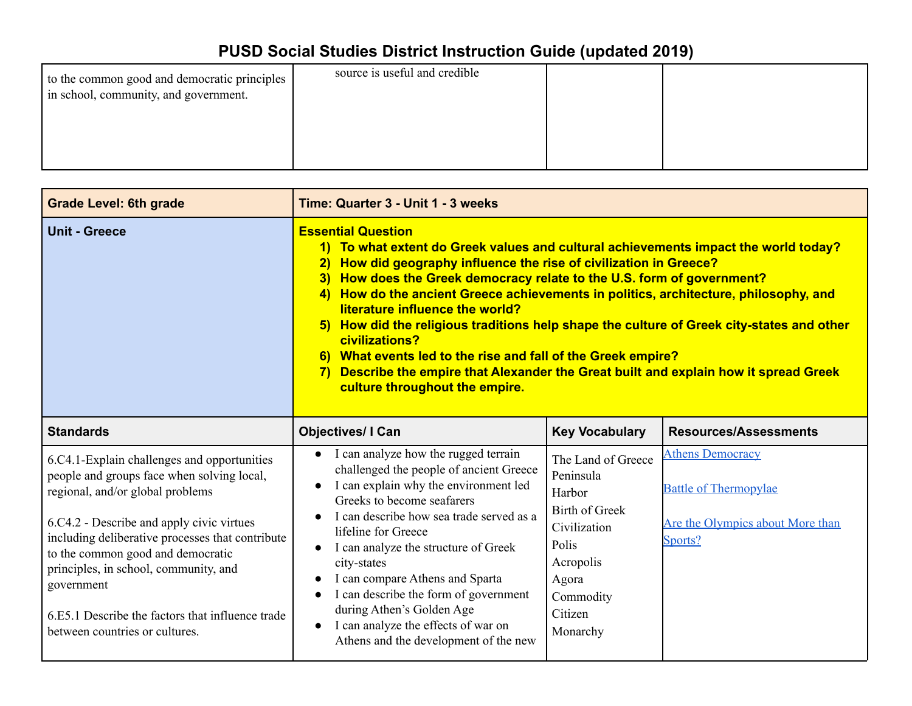|--|

| <b>Grade Level: 6th grade</b>                                                                                                                                                                                                                                                                                                                                                                                    | Time: Quarter 3 - Unit 1 - 3 weeks                                                                                                                                                                                                                                                                                                                                                                                                                                                                                                                                                                                                                                                                                                        |                                                                                                                                                       |                                                                                                        |  |
|------------------------------------------------------------------------------------------------------------------------------------------------------------------------------------------------------------------------------------------------------------------------------------------------------------------------------------------------------------------------------------------------------------------|-------------------------------------------------------------------------------------------------------------------------------------------------------------------------------------------------------------------------------------------------------------------------------------------------------------------------------------------------------------------------------------------------------------------------------------------------------------------------------------------------------------------------------------------------------------------------------------------------------------------------------------------------------------------------------------------------------------------------------------------|-------------------------------------------------------------------------------------------------------------------------------------------------------|--------------------------------------------------------------------------------------------------------|--|
| <b>Unit - Greece</b>                                                                                                                                                                                                                                                                                                                                                                                             | <b>Essential Question</b><br>1) To what extent do Greek values and cultural achievements impact the world today?<br>How did geography influence the rise of civilization in Greece?<br>$\overline{2}$<br>How does the Greek democracy relate to the U.S. form of government?<br>3)<br>How do the ancient Greece achievements in politics, architecture, philosophy, and<br><b>4</b><br>literature influence the world?<br>5) How did the religious traditions help shape the culture of Greek city-states and other<br>civilizations?<br>6) What events led to the rise and fall of the Greek empire?<br>Describe the empire that Alexander the Great built and explain how it spread Greek<br><b>7</b><br>culture throughout the empire. |                                                                                                                                                       |                                                                                                        |  |
| <b>Standards</b>                                                                                                                                                                                                                                                                                                                                                                                                 | <b>Objectives/ I Can</b>                                                                                                                                                                                                                                                                                                                                                                                                                                                                                                                                                                                                                                                                                                                  | <b>Key Vocabulary</b>                                                                                                                                 | <b>Resources/Assessments</b>                                                                           |  |
| 6.C4.1-Explain challenges and opportunities<br>people and groups face when solving local,<br>regional, and/or global problems<br>6.C4.2 - Describe and apply civic virtues<br>including deliberative processes that contribute<br>to the common good and democratic<br>principles, in school, community, and<br>government<br>6.E5.1 Describe the factors that influence trade<br>between countries or cultures. | • I can analyze how the rugged terrain<br>challenged the people of ancient Greece<br>I can explain why the environment led<br>Greeks to become seafarers<br>I can describe how sea trade served as a<br>lifeline for Greece<br>I can analyze the structure of Greek<br>city-states<br>I can compare Athens and Sparta<br>I can describe the form of government<br>during Athen's Golden Age<br>I can analyze the effects of war on<br>Athens and the development of the new                                                                                                                                                                                                                                                               | The Land of Greece<br>Peninsula<br>Harbor<br><b>Birth of Greek</b><br>Civilization<br>Polis<br>Acropolis<br>Agora<br>Commodity<br>Citizen<br>Monarchy | <b>Athens Democracy</b><br><b>Battle of Thermopylae</b><br>Are the Olympics about More than<br>Sports? |  |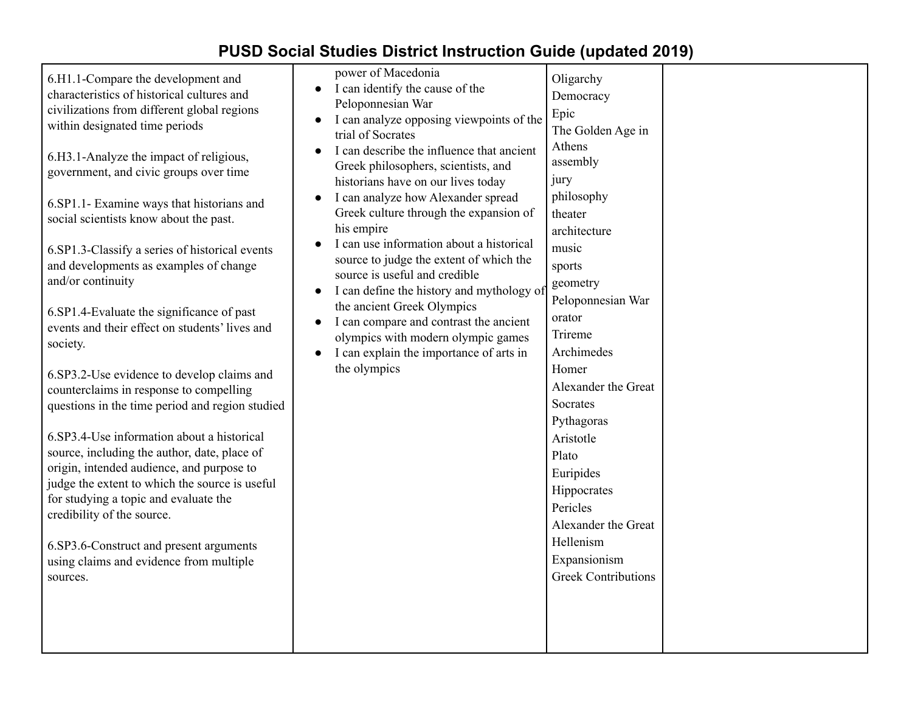| 6.H1.1-Compare the development and<br>characteristics of historical cultures and<br>civilizations from different global regions<br>within designated time periods<br>6.H3.1-Analyze the impact of religious,<br>government, and civic groups over time<br>6.SP1.1- Examine ways that historians and<br>social scientists know about the past.<br>6.SP1.3-Classify a series of historical events<br>and developments as examples of change<br>and/or continuity<br>6.SP1.4-Evaluate the significance of past<br>events and their effect on students' lives and<br>society.<br>6.SP3.2-Use evidence to develop claims and<br>counterclaims in response to compelling<br>questions in the time period and region studied<br>6.SP3.4-Use information about a historical<br>source, including the author, date, place of<br>origin, intended audience, and purpose to<br>judge the extent to which the source is useful<br>for studying a topic and evaluate the<br>credibility of the source.<br>6.SP3.6-Construct and present arguments<br>using claims and evidence from multiple<br>sources. | power of Macedonia<br>I can identify the cause of the<br>$\bullet$<br>Peloponnesian War<br>I can analyze opposing viewpoints of the<br>$\bullet$<br>trial of Socrates<br>I can describe the influence that ancient<br>$\bullet$<br>Greek philosophers, scientists, and<br>historians have on our lives today<br>I can analyze how Alexander spread<br>$\bullet$<br>Greek culture through the expansion of<br>his empire<br>I can use information about a historical<br>$\bullet$<br>source to judge the extent of which the<br>source is useful and credible<br>I can define the history and mythology of<br>$\bullet$<br>the ancient Greek Olympics<br>I can compare and contrast the ancient<br>$\bullet$<br>olympics with modern olympic games<br>I can explain the importance of arts in<br>$\bullet$<br>the olympics | Oligarchy<br>Democracy<br>Epic<br>The Golden Age in<br>Athens<br>assembly<br>jury<br>philosophy<br>theater<br>architecture<br>music<br>sports<br>geometry<br>Peloponnesian War<br>orator<br>Trireme<br>Archimedes<br>Homer<br>Alexander the Great<br>Socrates<br>Pythagoras<br>Aristotle<br>Plato<br>Euripides<br>Hippocrates<br>Pericles<br>Alexander the Great<br>Hellenism<br>Expansionism<br><b>Greek Contributions</b> |  |
|---------------------------------------------------------------------------------------------------------------------------------------------------------------------------------------------------------------------------------------------------------------------------------------------------------------------------------------------------------------------------------------------------------------------------------------------------------------------------------------------------------------------------------------------------------------------------------------------------------------------------------------------------------------------------------------------------------------------------------------------------------------------------------------------------------------------------------------------------------------------------------------------------------------------------------------------------------------------------------------------------------------------------------------------------------------------------------------------|---------------------------------------------------------------------------------------------------------------------------------------------------------------------------------------------------------------------------------------------------------------------------------------------------------------------------------------------------------------------------------------------------------------------------------------------------------------------------------------------------------------------------------------------------------------------------------------------------------------------------------------------------------------------------------------------------------------------------------------------------------------------------------------------------------------------------|-----------------------------------------------------------------------------------------------------------------------------------------------------------------------------------------------------------------------------------------------------------------------------------------------------------------------------------------------------------------------------------------------------------------------------|--|
|---------------------------------------------------------------------------------------------------------------------------------------------------------------------------------------------------------------------------------------------------------------------------------------------------------------------------------------------------------------------------------------------------------------------------------------------------------------------------------------------------------------------------------------------------------------------------------------------------------------------------------------------------------------------------------------------------------------------------------------------------------------------------------------------------------------------------------------------------------------------------------------------------------------------------------------------------------------------------------------------------------------------------------------------------------------------------------------------|---------------------------------------------------------------------------------------------------------------------------------------------------------------------------------------------------------------------------------------------------------------------------------------------------------------------------------------------------------------------------------------------------------------------------------------------------------------------------------------------------------------------------------------------------------------------------------------------------------------------------------------------------------------------------------------------------------------------------------------------------------------------------------------------------------------------------|-----------------------------------------------------------------------------------------------------------------------------------------------------------------------------------------------------------------------------------------------------------------------------------------------------------------------------------------------------------------------------------------------------------------------------|--|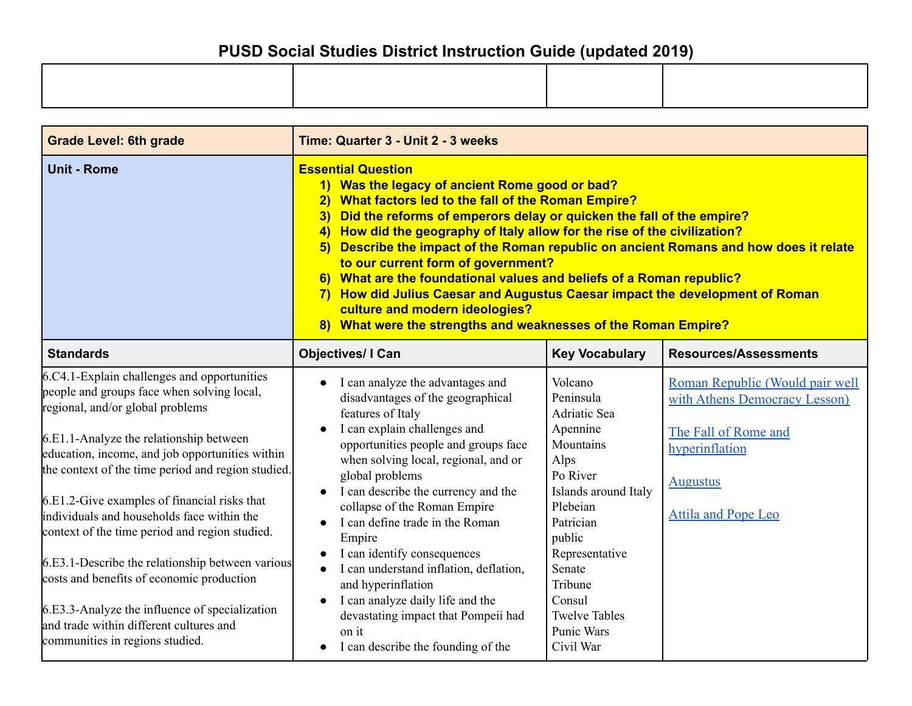| <b>Grade Level: 6th grade</b>                                                                                                                                                                                                                                                                                                                                                                                                                                                                                                                                                                                                                                      | Time: Quarter 3 - Unit 2 - 3 weeks                                                                                                                                                                                                                                                                                                                                                                                                                                                                                                                                                                                                                                                                     |                                                                                                                                                                                                                                                                |                                                                                                                                                             |
|--------------------------------------------------------------------------------------------------------------------------------------------------------------------------------------------------------------------------------------------------------------------------------------------------------------------------------------------------------------------------------------------------------------------------------------------------------------------------------------------------------------------------------------------------------------------------------------------------------------------------------------------------------------------|--------------------------------------------------------------------------------------------------------------------------------------------------------------------------------------------------------------------------------------------------------------------------------------------------------------------------------------------------------------------------------------------------------------------------------------------------------------------------------------------------------------------------------------------------------------------------------------------------------------------------------------------------------------------------------------------------------|----------------------------------------------------------------------------------------------------------------------------------------------------------------------------------------------------------------------------------------------------------------|-------------------------------------------------------------------------------------------------------------------------------------------------------------|
| <b>Unit - Rome</b>                                                                                                                                                                                                                                                                                                                                                                                                                                                                                                                                                                                                                                                 | <b>Essential Question</b><br>1) Was the legacy of ancient Rome good or bad?<br><b>What factors led to the fall of the Roman Empire?</b><br>2)<br>Did the reforms of emperors delay or quicken the fall of the empire?<br>3)<br>4) How did the geography of Italy allow for the rise of the civilization?<br>Describe the impact of the Roman republic on ancient Romans and how does it relate<br>5)<br>to our current form of government?<br>6) What are the foundational values and beliefs of a Roman republic?<br>7) How did Julius Caesar and Augustus Caesar impact the development of Roman<br>culture and modern ideologies?<br>8) What were the strengths and weaknesses of the Roman Empire? |                                                                                                                                                                                                                                                                |                                                                                                                                                             |
| <b>Standards</b>                                                                                                                                                                                                                                                                                                                                                                                                                                                                                                                                                                                                                                                   | <b>Objectives/ I Can</b>                                                                                                                                                                                                                                                                                                                                                                                                                                                                                                                                                                                                                                                                               | <b>Key Vocabulary</b>                                                                                                                                                                                                                                          | <b>Resources/Assessments</b>                                                                                                                                |
| 6.C4.1-Explain challenges and opportunities<br>people and groups face when solving local,<br>regional, and/or global problems<br>6.E1.1-Analyze the relationship between<br>education, income, and job opportunities within<br>the context of the time period and region studied.<br>6.E1.2-Give examples of financial risks that<br>individuals and households face within the<br>context of the time period and region studied.<br>6.E3.1-Describe the relationship between various<br>costs and benefits of economic production<br>6.E3.3-Analyze the influence of specialization<br>and trade within different cultures and<br>communities in regions studied. | I can analyze the advantages and<br>disadvantages of the geographical<br>features of Italy<br>I can explain challenges and<br>opportunities people and groups face<br>when solving local, regional, and or<br>global problems<br>I can describe the currency and the<br>collapse of the Roman Empire<br>I can define trade in the Roman<br>Empire<br>I can identify consequences<br>I can understand inflation, deflation,<br>and hyperinflation<br>I can analyze daily life and the<br>devastating impact that Pompeii had<br>on it<br>I can describe the founding of the                                                                                                                             | Volcano<br>Peninsula<br><b>Adriatic Sea</b><br>Apennine<br>Mountains<br>Alps<br>Po River<br>Islands around Italy<br>Plebeian<br>Patrician<br>public<br>Representative<br>Senate<br>Tribune<br>Consul<br><b>Twelve Tables</b><br><b>Punic Wars</b><br>Civil War | Roman Republic (Would pair well<br>with Athens Democracy Lesson)<br>The Fall of Rome and<br>hyperinflation<br><b>Augustus</b><br><b>Attila and Pope Leo</b> |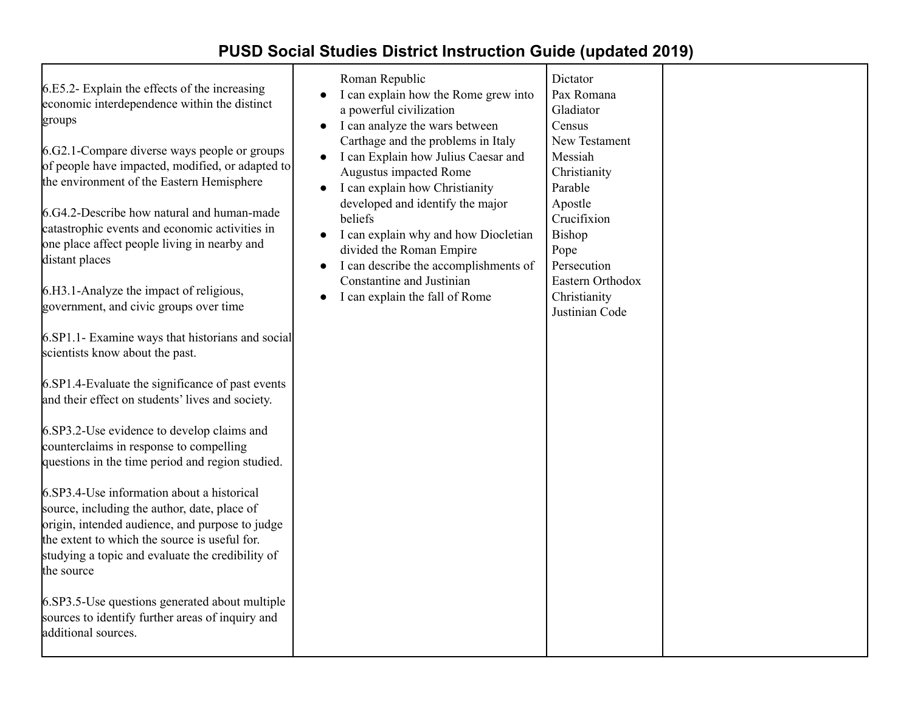| 6.E5.2- Explain the effects of the increasing<br>economic interdependence within the distinct<br>groups<br>6.G2.1-Compare diverse ways people or groups<br>of people have impacted, modified, or adapted to<br>the environment of the Eastern Hemisphere<br>6.G4.2-Describe how natural and human-made<br>catastrophic events and economic activities in<br>one place affect people living in nearby and<br>distant places<br>6.H3.1-Analyze the impact of religious,<br>government, and civic groups over time<br>6.SP1.1- Examine ways that historians and social<br>scientists know about the past.<br>6.SP1.4-Evaluate the significance of past events<br>and their effect on students' lives and society.<br>6.SP3.2-Use evidence to develop claims and<br>counterclaims in response to compelling<br>questions in the time period and region studied.<br>6.SP3.4-Use information about a historical<br>source, including the author, date, place of<br>origin, intended audience, and purpose to judge<br>the extent to which the source is useful for.<br>studying a topic and evaluate the credibility of<br>the source<br>6.SP3.5-Use questions generated about multiple<br>sources to identify further areas of inquiry and<br>additional sources. | Roman Republic<br>I can explain how the Rome grew into<br>a powerful civilization<br>I can analyze the wars between<br>$\bullet$<br>Carthage and the problems in Italy<br>I can Explain how Julius Caesar and<br>$\bullet$<br>Augustus impacted Rome<br>I can explain how Christianity<br>$\bullet$<br>developed and identify the major<br>beliefs<br>I can explain why and how Diocletian<br>$\bullet$<br>divided the Roman Empire<br>I can describe the accomplishments of<br>$\bullet$<br>Constantine and Justinian<br>I can explain the fall of Rome<br>$\bullet$ | Dictator<br>Pax Romana<br>Gladiator<br>Census<br>New Testament<br>Messiah<br>Christianity<br>Parable<br>Apostle<br>Crucifixion<br>Bishop<br>Pope<br>Persecution<br>Eastern Orthodox<br>Christianity<br>Justinian Code |  |
|--------------------------------------------------------------------------------------------------------------------------------------------------------------------------------------------------------------------------------------------------------------------------------------------------------------------------------------------------------------------------------------------------------------------------------------------------------------------------------------------------------------------------------------------------------------------------------------------------------------------------------------------------------------------------------------------------------------------------------------------------------------------------------------------------------------------------------------------------------------------------------------------------------------------------------------------------------------------------------------------------------------------------------------------------------------------------------------------------------------------------------------------------------------------------------------------------------------------------------------------------------------|-----------------------------------------------------------------------------------------------------------------------------------------------------------------------------------------------------------------------------------------------------------------------------------------------------------------------------------------------------------------------------------------------------------------------------------------------------------------------------------------------------------------------------------------------------------------------|-----------------------------------------------------------------------------------------------------------------------------------------------------------------------------------------------------------------------|--|
|--------------------------------------------------------------------------------------------------------------------------------------------------------------------------------------------------------------------------------------------------------------------------------------------------------------------------------------------------------------------------------------------------------------------------------------------------------------------------------------------------------------------------------------------------------------------------------------------------------------------------------------------------------------------------------------------------------------------------------------------------------------------------------------------------------------------------------------------------------------------------------------------------------------------------------------------------------------------------------------------------------------------------------------------------------------------------------------------------------------------------------------------------------------------------------------------------------------------------------------------------------------|-----------------------------------------------------------------------------------------------------------------------------------------------------------------------------------------------------------------------------------------------------------------------------------------------------------------------------------------------------------------------------------------------------------------------------------------------------------------------------------------------------------------------------------------------------------------------|-----------------------------------------------------------------------------------------------------------------------------------------------------------------------------------------------------------------------|--|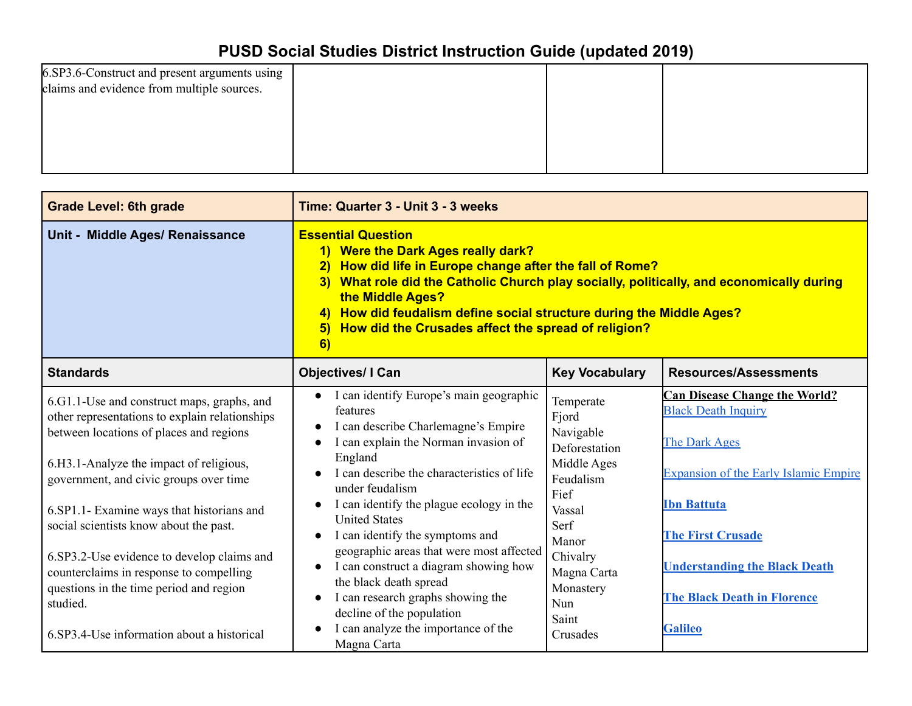| 6.SP3.6-Construct and present arguments using |  |  |
|-----------------------------------------------|--|--|
| claims and evidence from multiple sources.    |  |  |
|                                               |  |  |
|                                               |  |  |
|                                               |  |  |
|                                               |  |  |
|                                               |  |  |

| <b>Grade Level: 6th grade</b>                                                                                                                                                                                                                                                                                                                                                                                                                                       | Time: Quarter 3 - Unit 3 - 3 weeks                                                                                                                                                                                                                                                                                                                                                                                                                                                                       |                                                                                                                                                                |                                                                                                                                                                                                                                                                     |
|---------------------------------------------------------------------------------------------------------------------------------------------------------------------------------------------------------------------------------------------------------------------------------------------------------------------------------------------------------------------------------------------------------------------------------------------------------------------|----------------------------------------------------------------------------------------------------------------------------------------------------------------------------------------------------------------------------------------------------------------------------------------------------------------------------------------------------------------------------------------------------------------------------------------------------------------------------------------------------------|----------------------------------------------------------------------------------------------------------------------------------------------------------------|---------------------------------------------------------------------------------------------------------------------------------------------------------------------------------------------------------------------------------------------------------------------|
| Unit - Middle Ages/ Renaissance                                                                                                                                                                                                                                                                                                                                                                                                                                     | <b>Essential Question</b><br>1) Were the Dark Ages really dark?<br>How did life in Europe change after the fall of Rome?<br>$\left  \frac{2}{2} \right $<br>3) What role did the Catholic Church play socially, politically, and economically during<br>the Middle Ages?<br>How did feudalism define social structure during the Middle Ages?<br>$\left(4\right)$<br>How did the Crusades affect the spread of religion?<br>$\vert 5 \rangle$<br>6)                                                      |                                                                                                                                                                |                                                                                                                                                                                                                                                                     |
| <b>Standards</b>                                                                                                                                                                                                                                                                                                                                                                                                                                                    | <b>Objectives/ I Can</b>                                                                                                                                                                                                                                                                                                                                                                                                                                                                                 | <b>Key Vocabulary</b>                                                                                                                                          | <b>Resources/Assessments</b>                                                                                                                                                                                                                                        |
| 6.G1.1-Use and construct maps, graphs, and<br>other representations to explain relationships<br>between locations of places and regions<br>6.H3.1-Analyze the impact of religious,<br>government, and civic groups over time<br>6.SP1.1- Examine ways that historians and<br>social scientists know about the past.<br>6.SP3.2-Use evidence to develop claims and<br>counterclaims in response to compelling<br>questions in the time period and region<br>studied. | • I can identify Europe's main geographic<br>features<br>I can describe Charlemagne's Empire<br>I can explain the Norman invasion of<br>England<br>I can describe the characteristics of life<br>under feudalism<br>I can identify the plague ecology in the<br><b>United States</b><br>I can identify the symptoms and<br>geographic areas that were most affected<br>I can construct a diagram showing how<br>the black death spread<br>I can research graphs showing the<br>decline of the population | Temperate<br>Fjord<br>Navigable<br>Deforestation<br>Middle Ages<br>Feudalism<br>Fief<br>Vassal<br>Serf<br>Manor<br>Chivalry<br>Magna Carta<br>Monastery<br>Nun | <b>Can Disease Change the World?</b><br><b>Black Death Inquiry</b><br>The Dark Ages<br><b>Expansion of the Early Islamic Empire</b><br><b>Ibn Battuta</b><br><b>The First Crusade</b><br><b>Understanding the Black Death</b><br><b>The Black Death in Florence</b> |
| 6.SP3.4-Use information about a historical                                                                                                                                                                                                                                                                                                                                                                                                                          | I can analyze the importance of the<br>Magna Carta                                                                                                                                                                                                                                                                                                                                                                                                                                                       | Saint<br>Crusades                                                                                                                                              | <b>Galileo</b>                                                                                                                                                                                                                                                      |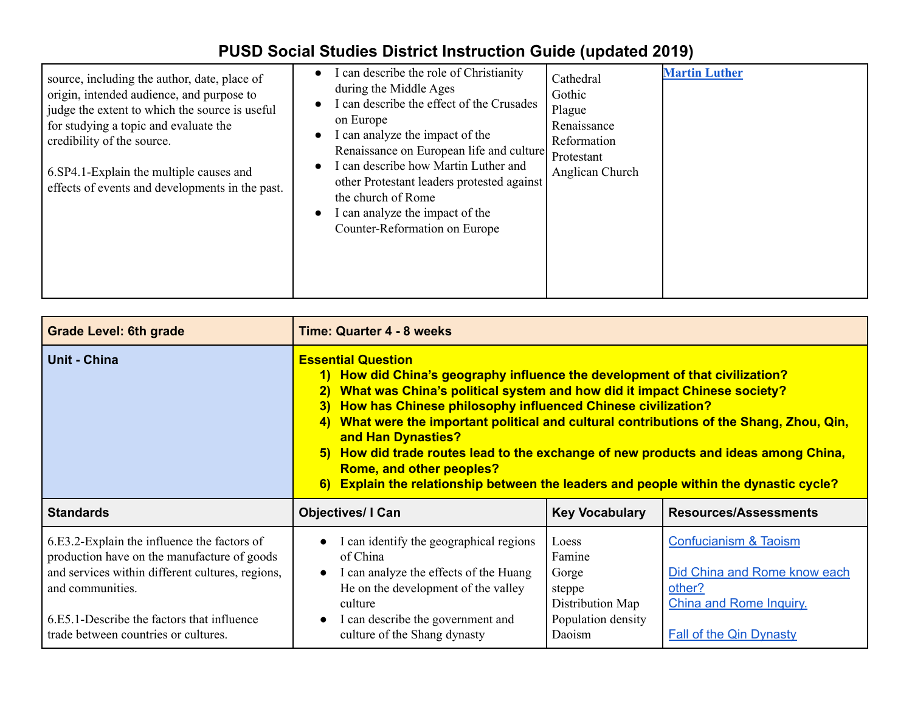| source, including the author, date, place of<br>origin, intended audience, and purpose to<br>judge the extent to which the source is useful<br>for studying a topic and evaluate the<br>credibility of the source.<br>6. SP4. 1-Explain the multiple causes and<br>effects of events and developments in the past. | I can describe the role of Christianity<br>during the Middle Ages<br>I can describe the effect of the Crusades<br>on Europe<br>I can analyze the impact of the<br>Renaissance on European life and culture<br>I can describe how Martin Luther and<br>other Protestant leaders protested against<br>the church of Rome<br>I can analyze the impact of the<br>Counter-Reformation on Europe | Cathedral<br>Gothic<br>Plague<br>Renaissance<br>Reformation<br>Protestant<br>Anglican Church | <b>Martin Luther</b> |
|--------------------------------------------------------------------------------------------------------------------------------------------------------------------------------------------------------------------------------------------------------------------------------------------------------------------|--------------------------------------------------------------------------------------------------------------------------------------------------------------------------------------------------------------------------------------------------------------------------------------------------------------------------------------------------------------------------------------------|----------------------------------------------------------------------------------------------|----------------------|
|--------------------------------------------------------------------------------------------------------------------------------------------------------------------------------------------------------------------------------------------------------------------------------------------------------------------|--------------------------------------------------------------------------------------------------------------------------------------------------------------------------------------------------------------------------------------------------------------------------------------------------------------------------------------------------------------------------------------------|----------------------------------------------------------------------------------------------|----------------------|

| <b>Grade Level: 6th grade</b>                                                                                                                                                                                                                            | <b>Time: Quarter 4 - 8 weeks</b>                                                                                                                                                                                                                                                                                                                                                                                                                                                                                                                                                                                 |                                                                                        |                                                                                                                                                |  |
|----------------------------------------------------------------------------------------------------------------------------------------------------------------------------------------------------------------------------------------------------------|------------------------------------------------------------------------------------------------------------------------------------------------------------------------------------------------------------------------------------------------------------------------------------------------------------------------------------------------------------------------------------------------------------------------------------------------------------------------------------------------------------------------------------------------------------------------------------------------------------------|----------------------------------------------------------------------------------------|------------------------------------------------------------------------------------------------------------------------------------------------|--|
| Unit - China                                                                                                                                                                                                                                             | <b>Essential Question</b><br>1) How did China's geography influence the development of that civilization?<br>What was China's political system and how did it impact Chinese society?<br>$\overline{2}$<br>How has Chinese philosophy influenced Chinese civilization?<br>3)<br>What were the important political and cultural contributions of the Shang, Zhou, Qin,<br>4)<br>and Han Dynasties?<br>How did trade routes lead to the exchange of new products and ideas among China,<br>5)<br>Rome, and other peoples?<br>6) Explain the relationship between the leaders and people within the dynastic cycle? |                                                                                        |                                                                                                                                                |  |
| <b>Standards</b>                                                                                                                                                                                                                                         | <b>Objectives/I Can</b><br><b>Key Vocabulary</b><br><b>Resources/Assessments</b>                                                                                                                                                                                                                                                                                                                                                                                                                                                                                                                                 |                                                                                        |                                                                                                                                                |  |
| 6.E3.2-Explain the influence the factors of<br>production have on the manufacture of goods<br>and services within different cultures, regions,<br>and communities.<br>6.E5.1-Describe the factors that influence<br>trade between countries or cultures. | I can identify the geographical regions<br>$\bullet$<br>of China<br>I can analyze the effects of the Huang<br>$\bullet$<br>He on the development of the valley<br>culture<br>I can describe the government and<br>$\bullet$<br>culture of the Shang dynasty                                                                                                                                                                                                                                                                                                                                                      | Loess<br>Famine<br>Gorge<br>steppe<br>Distribution Map<br>Population density<br>Daoism | <b>Confucianism &amp; Taoism</b><br>Did China and Rome know each<br>other?<br><b>China and Rome Inquiry.</b><br><b>Fall of the Qin Dynasty</b> |  |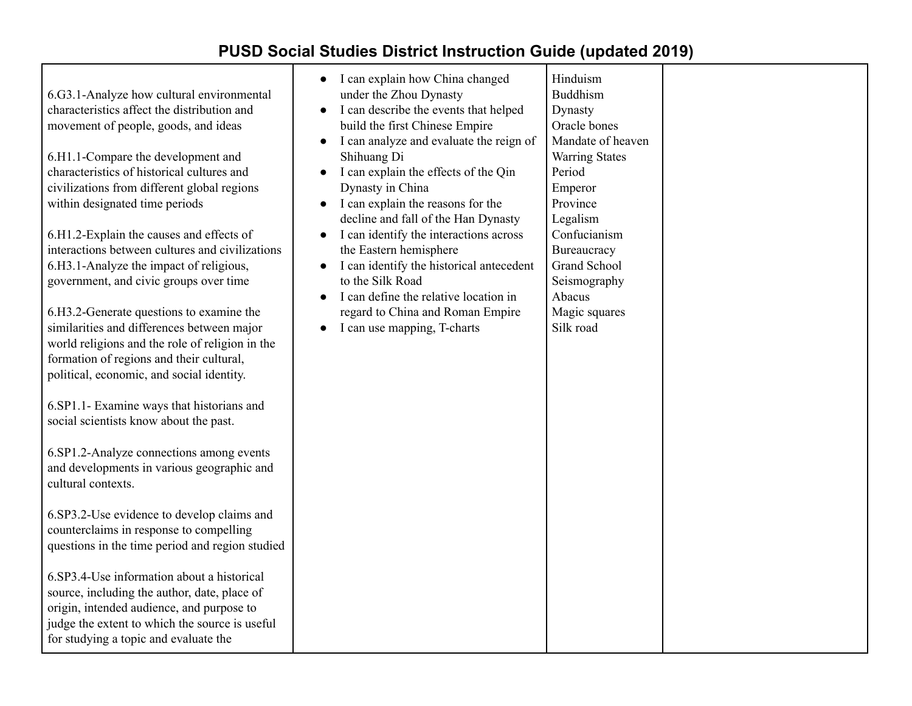| 6.G3.1-Analyze how cultural environmental<br>characteristics affect the distribution and<br>movement of people, goods, and ideas<br>6.H1.1-Compare the development and<br>characteristics of historical cultures and<br>civilizations from different global regions<br>within designated time periods<br>6.H1.2-Explain the causes and effects of<br>interactions between cultures and civilizations<br>6.H3.1-Analyze the impact of religious,<br>government, and civic groups over time<br>6.H3.2-Generate questions to examine the<br>similarities and differences between major<br>world religions and the role of religion in the<br>formation of regions and their cultural,<br>political, economic, and social identity.<br>6.SP1.1- Examine ways that historians and<br>social scientists know about the past.<br>6.SP1.2-Analyze connections among events<br>and developments in various geographic and<br>cultural contexts.<br>6.SP3.2-Use evidence to develop claims and<br>counterclaims in response to compelling<br>questions in the time period and region studied<br>6.SP3.4-Use information about a historical<br>source, including the author, date, place of<br>origin, intended audience, and purpose to<br>judge the extent to which the source is useful<br>for studying a topic and evaluate the | I can explain how China changed<br>under the Zhou Dynasty<br>I can describe the events that helped<br>$\bullet$<br>build the first Chinese Empire<br>I can analyze and evaluate the reign of<br>$\bullet$<br>Shihuang Di<br>I can explain the effects of the Qin<br>Dynasty in China<br>I can explain the reasons for the<br>$\bullet$<br>decline and fall of the Han Dynasty<br>I can identify the interactions across<br>$\bullet$<br>the Eastern hemisphere<br>I can identify the historical antecedent<br>to the Silk Road<br>I can define the relative location in<br>regard to China and Roman Empire<br>I can use mapping, T-charts | Hinduism<br><b>Buddhism</b><br>Dynasty<br>Oracle bones<br>Mandate of heaven<br><b>Warring States</b><br>Period<br>Emperor<br>Province<br>Legalism<br>Confucianism<br>Bureaucracy<br>Grand School<br>Seismography<br>Abacus<br>Magic squares<br>Silk road |  |
|--------------------------------------------------------------------------------------------------------------------------------------------------------------------------------------------------------------------------------------------------------------------------------------------------------------------------------------------------------------------------------------------------------------------------------------------------------------------------------------------------------------------------------------------------------------------------------------------------------------------------------------------------------------------------------------------------------------------------------------------------------------------------------------------------------------------------------------------------------------------------------------------------------------------------------------------------------------------------------------------------------------------------------------------------------------------------------------------------------------------------------------------------------------------------------------------------------------------------------------------------------------------------------------------------------------------------|--------------------------------------------------------------------------------------------------------------------------------------------------------------------------------------------------------------------------------------------------------------------------------------------------------------------------------------------------------------------------------------------------------------------------------------------------------------------------------------------------------------------------------------------------------------------------------------------------------------------------------------------|----------------------------------------------------------------------------------------------------------------------------------------------------------------------------------------------------------------------------------------------------------|--|
|--------------------------------------------------------------------------------------------------------------------------------------------------------------------------------------------------------------------------------------------------------------------------------------------------------------------------------------------------------------------------------------------------------------------------------------------------------------------------------------------------------------------------------------------------------------------------------------------------------------------------------------------------------------------------------------------------------------------------------------------------------------------------------------------------------------------------------------------------------------------------------------------------------------------------------------------------------------------------------------------------------------------------------------------------------------------------------------------------------------------------------------------------------------------------------------------------------------------------------------------------------------------------------------------------------------------------|--------------------------------------------------------------------------------------------------------------------------------------------------------------------------------------------------------------------------------------------------------------------------------------------------------------------------------------------------------------------------------------------------------------------------------------------------------------------------------------------------------------------------------------------------------------------------------------------------------------------------------------------|----------------------------------------------------------------------------------------------------------------------------------------------------------------------------------------------------------------------------------------------------------|--|